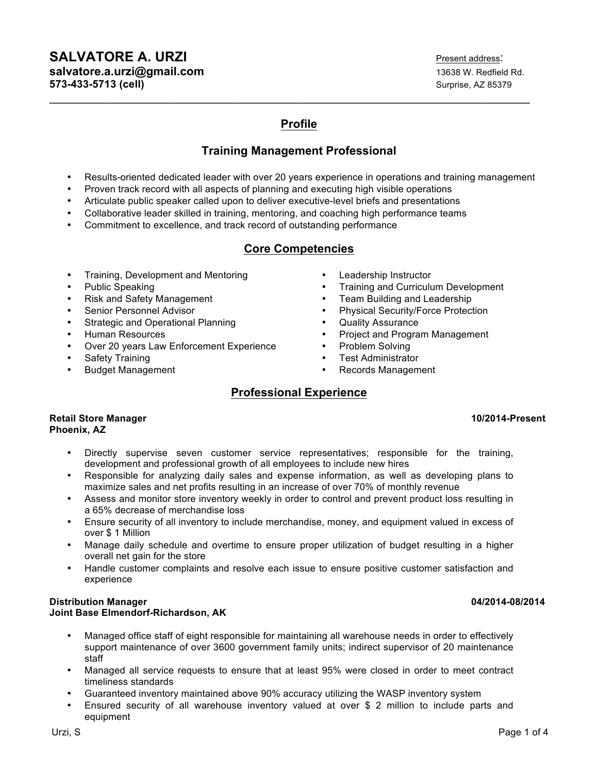# **SALVATORE A. URZI Present address: salvatore.a.urzi@gmail.com 13638 W. Redfield Rd. 13638 W. Redfield Rd. 573-433-5713 (cell) Surprise, AZ 85379 Surprise, AZ 85379**

# **Profile**

**\_\_\_\_\_\_\_\_\_\_\_\_\_\_\_\_\_\_\_\_\_\_\_\_\_\_\_\_\_\_\_\_\_\_\_\_\_\_\_\_\_\_\_\_\_\_\_\_\_\_\_\_\_\_\_\_\_\_\_\_\_\_\_\_\_\_\_\_\_\_\_\_\_\_\_\_\_\_\_\_\_\_**

# **Training Management Professional**

- Results-oriented dedicated leader with over 20 years experience in operations and training management
- Proven track record with all aspects of planning and executing high visible operations
- Articulate public speaker called upon to deliver executive-level briefs and presentations
- Collaborative leader skilled in training, mentoring, and coaching high performance teams
- Commitment to excellence, and track record of outstanding performance

# **Core Competencies**

- Training, Development and Mentoring
- Public Speaking
- Risk and Safety Management
- 
- Strategic and Operational Planning **•** Quality Assurance<br>
Human Resources **•** Project and Progra
- 
- Over 20 years Law Enforcement Experience
- Safety Training
- Budget Management

# **Professional Experience**

### **Retail Store Manager 10/2014-Present Phoenix, AZ**

- Directly supervise seven customer service representatives; responsible for the training, development and professional growth of all employees to include new hires
- Responsible for analyzing daily sales and expense information, as well as developing plans to maximize sales and net profits resulting in an increase of over 70% of monthly revenue
- Assess and monitor store inventory weekly in order to control and prevent product loss resulting in a 65% decrease of merchandise loss
- Ensure security of all inventory to include merchandise, money, and equipment valued in excess of over \$ 1 Million
- Manage daily schedule and overtime to ensure proper utilization of budget resulting in a higher overall net gain for the store
- Handle customer complaints and resolve each issue to ensure positive customer satisfaction and experience

# **Distribution Manager 04/2014-08/2014 Joint Base Elmendorf-Richardson, AK**

- Managed office staff of eight responsible for maintaining all warehouse needs in order to effectively support maintenance of over 3600 government family units; indirect supervisor of 20 maintenance staff
- Managed all service requests to ensure that at least 95% were closed in order to meet contract timeliness standards
- Guaranteed inventory maintained above 90% accuracy utilizing the WASP inventory system
- Ensured security of all warehouse inventory valued at over \$ 2 million to include parts and equipment
- Leadership Instructor
- Training and Curriculum Development
- Team Building and Leadership
- Senior Personnel Advisor Physical Security/Force Protection
	-
	- Project and Program Management
	- Problem Solving
	- Test Administrator
	- Records Management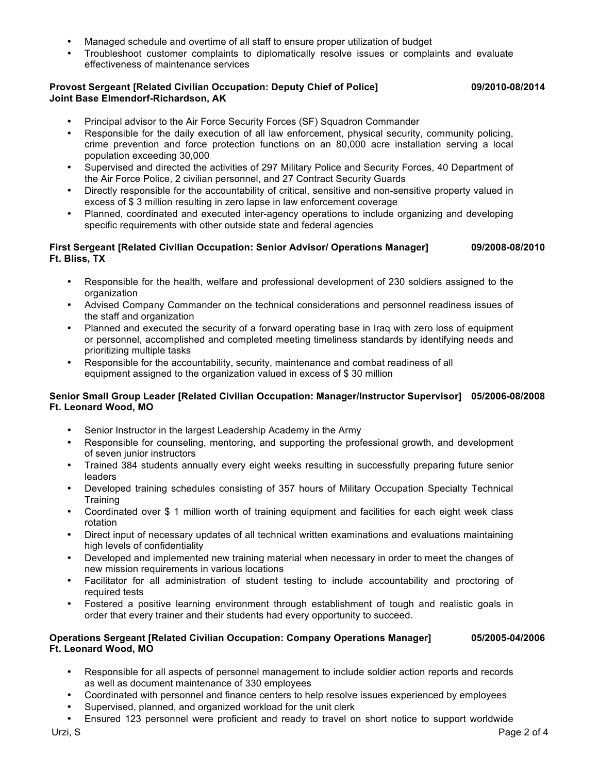- Managed schedule and overtime of all staff to ensure proper utilization of budget
- Troubleshoot customer complaints to diplomatically resolve issues or complaints and evaluate effectiveness of maintenance services

### **Provost Sergeant [Related Civilian Occupation: Deputy Chief of Police] 09/2010-08/2014 Joint Base Elmendorf-Richardson, AK**

- Principal advisor to the Air Force Security Forces (SF) Squadron Commander
- Responsible for the daily execution of all law enforcement, physical security, community policing, crime prevention and force protection functions on an 80,000 acre installation serving a local population exceeding 30,000
- Supervised and directed the activities of 297 Military Police and Security Forces, 40 Department of the Air Force Police, 2 civilian personnel, and 27 Contract Security Guards
- Directly responsible for the accountability of critical, sensitive and non-sensitive property valued in excess of \$ 3 million resulting in zero lapse in law enforcement coverage
- Planned, coordinated and executed inter-agency operations to include organizing and developing specific requirements with other outside state and federal agencies

### **First Sergeant [Related Civilian Occupation: Senior Advisor/ Operations Manager] 09/2008-08/2010 Ft. Bliss, TX**

- Responsible for the health, welfare and professional development of 230 soldiers assigned to the organization
- Advised Company Commander on the technical considerations and personnel readiness issues of the staff and organization
- Planned and executed the security of a forward operating base in Iraq with zero loss of equipment or personnel, accomplished and completed meeting timeliness standards by identifying needs and prioritizing multiple tasks
- Responsible for the accountability, security, maintenance and combat readiness of all equipment assigned to the organization valued in excess of \$ 30 million

## **Senior Small Group Leader [Related Civilian Occupation: Manager/Instructor Supervisor] 05/2006-08/2008 Ft. Leonard Wood, MO**

- Senior Instructor in the largest Leadership Academy in the Army
- Responsible for counseling, mentoring, and supporting the professional growth, and development of seven junior instructors
- Trained 384 students annually every eight weeks resulting in successfully preparing future senior leaders
- Developed training schedules consisting of 357 hours of Military Occupation Specialty Technical **Training**
- Coordinated over \$ 1 million worth of training equipment and facilities for each eight week class rotation
- Direct input of necessary updates of all technical written examinations and evaluations maintaining high levels of confidentiality
- Developed and implemented new training material when necessary in order to meet the changes of new mission requirements in various locations
- Facilitator for all administration of student testing to include accountability and proctoring of required tests
- Fostered a positive learning environment through establishment of tough and realistic goals in order that every trainer and their students had every opportunity to succeed.

## **Operations Sergeant [Related Civilian Occupation: Company Operations Manager] 05/2005-04/2006 Ft. Leonard Wood, MO**

- Responsible for all aspects of personnel management to include soldier action reports and records as well as document maintenance of 330 employees
- Coordinated with personnel and finance centers to help resolve issues experienced by employees
- Supervised, planned, and organized workload for the unit clerk
- Ensured 123 personnel were proficient and ready to travel on short notice to support worldwide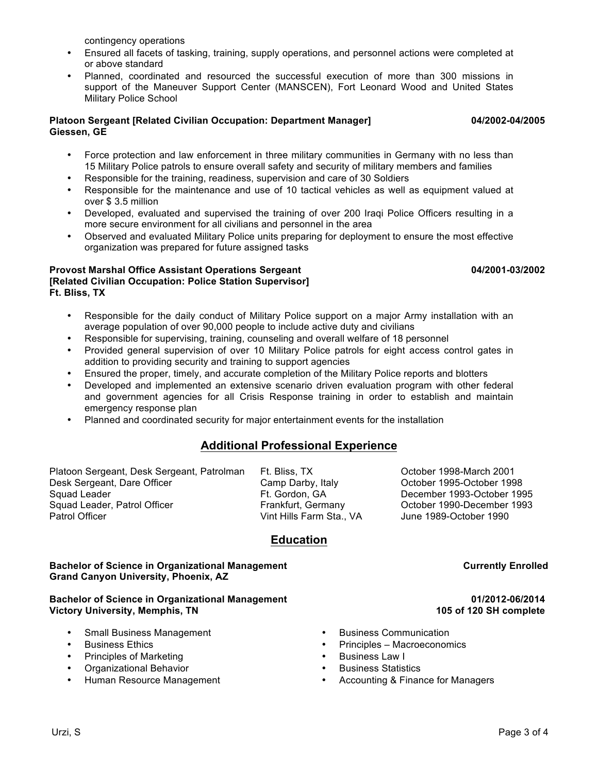contingency operations

- Ensured all facets of tasking, training, supply operations, and personnel actions were completed at or above standard
- Planned, coordinated and resourced the successful execution of more than 300 missions in support of the Maneuver Support Center (MANSCEN), Fort Leonard Wood and United States Military Police School

## **Platoon Sergeant [Related Civilian Occupation: Department Manager] 04/2002-04/2005 Giessen, GE**

- Force protection and law enforcement in three military communities in Germany with no less than 15 Military Police patrols to ensure overall safety and security of military members and families
- Responsible for the training, readiness, supervision and care of 30 Soldiers
- Responsible for the maintenance and use of 10 tactical vehicles as well as equipment valued at over \$ 3.5 million
- Developed, evaluated and supervised the training of over 200 Iraqi Police Officers resulting in a more secure environment for all civilians and personnel in the area
- Observed and evaluated Military Police units preparing for deployment to ensure the most effective organization was prepared for future assigned tasks

# **Provost Marshal Office Assistant Operations Sergeant 04/2001-03/2002 [Related Civilian Occupation: Police Station Supervisor] Ft. Bliss, TX**

- Responsible for the daily conduct of Military Police support on a major Army installation with an average population of over 90,000 people to include active duty and civilians
- Responsible for supervising, training, counseling and overall welfare of 18 personnel
- Provided general supervision of over 10 Military Police patrols for eight access control gates in addition to providing security and training to support agencies
- Ensured the proper, timely, and accurate completion of the Military Police reports and blotters<br>• Developed and implemented an extensive scenario driven evaluation program with other fe
- Developed and implemented an extensive scenario driven evaluation program with other federal and government agencies for all Crisis Response training in order to establish and maintain emergency response plan
- Planned and coordinated security for major entertainment events for the installation

# **Additional Professional Experience**

Platoon Sergeant, Desk Sergeant, Patrolman Ft. Bliss, TX Cotober 1998-March 2001 Desk Sergeant, Dare Officer Camp Darby, Italy October 1995-October 1998 Squad Leader **Ft. Gordon, GA** December 1993-October 1995 Squad Leader, Patrol Officer Frankfurt, Germany Cotober 1990-December 1993<br>Patrol Officer Frankfulls Farm Sta., VA June 1989-October 1990

Vint Hills Farm Sta., VA June 1989-October 1990

# **Education**

**Bachelor of Science in Organizational Management Current Currently Enrolled Grand Canyon University, Phoenix, AZ**

# **Bachelor of Science in Organizational Management** 01/2012-06/2014 **Victory University, Memphis, TN 105 of 120 SH complete**

- Small Business Management Business Communication
- 
- Principles of Marketing
- Organizational Behavior
- Human Resource Management
- 
- Business Ethics Principles Macroeconomics
	-
	- Business Statistics
	- Accounting & Finance for Managers